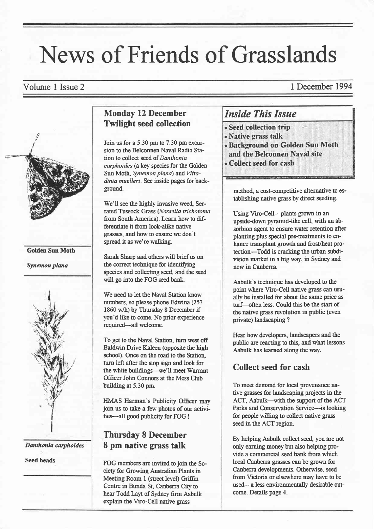# News of Friends of Grasslands

Volume 1 Issue 2 1 December 1994



Danthonia carphoides

Seed heads

#### Monday 12 December Twilight seed collection

Join us for a  $5.30$  pm to  $7.30$  pm excursion to the Belconnen Naval Radio Station to collect seed of Danthonia carphoides (a key species for the Golden Sun Moth, Synemon plana) and Vittadinia muelleri. See inside pages for background.

We'll see the highly invasive weed, Serrated Tussock Grass (Nassella trichotoma from South America). Learn how to differentiate it from look-alike native grasses, and how to ensure we don't spread it as we're walking.

Sarah Sharp and others will brief us on the correct technique for identifying species and collecting see4 and the seed will go into the FOG seed bank.

We need to let the Naval Station know numbers, so please phone Edwina (253 1860 w/h) by Thursday 8 December if you'd like to come. No prior experience required-all welcome.

To get to the Naval Station, turn west off Baldwin Drive Kaleen (opposite the high school). Once on the road to the Station, turn left after the stop sign and look for the white buildings-we'll meet Warrant Officer John Connors at the Mess Club building at 5.30 pm.

HMAS Harman's Publicity Officer may join us to take a few photos of our activities-all good publicity for FOG !

#### Thursday 8 December 8 pm native grass talk

FOG members are invited to join the Society for Growing Australian Plants in Meeting Room I (street level) Griffin Centre in Bunda St, Canberra City to hear Todd Layt of Sydney firm Aabulk explain the Viro-Cell native grass

### Inside This Issue

- . Seed collection trip
- . Native grass talk
- . Background on Golden Sun Moth
- and the Belconnen Naval site
- . Collect seed for cash

method, a cost-competitive alternative to establishing native grass by direct seeding.

Using Viro-Cell--plants grown in an upside-down pyramid-like cell, with an absorbion agent to ensure water retention after planting plus special pre-treatments to enhance transplant growth and frost/heat protection-Todd is cracking the urban subdivision market in a big way, in Sydney and now in Canberra.

Aabulk's technique has dweloped to the point where Viro-Cell native grass can usually be installed for about the same price as turf-often less. Could this be the start of the native grass rwolution in public (even private) landscaping ?

Hear how developers, landscapers and the public are reacting to this, and what lessons Aabulk has learned along the way.

#### Collect seed for cash

To meet demand for local provenance native grasses for landscaping projects in the ACT, Aabulk-with the support of the ACT Parks and Conservation Service--is looking for people wilting to collect native grass seed in the ACT region.

By helping Aabulk collect seed, you are not only earning money but also helping provide a commercial seed bank from which local Canberra grasses can be grown for Canberra developments. Otherwise, seed from Victoria or elsewhere may have to be used-a less environmentally desirable outcome. Details page 4.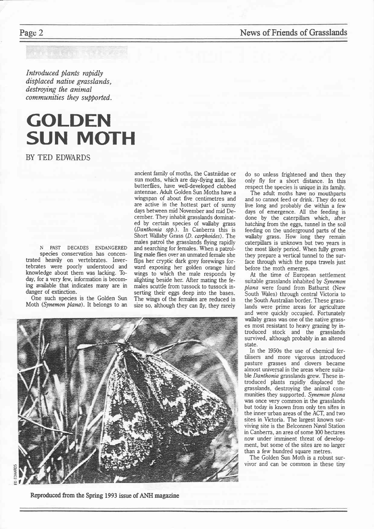Introduced plants rapidly displaced natiue grasslands, destroying the animal communities they supported.

## GOLDEN SUN MOTH

BY TED EDWARDS

N PAST DECADES ENDANGERED species conservation has concentrated heavily on vertebrates. Invertebrates were poorly understood and knowledge about them was lacking. Today, for a very few, information is becoming available that indicates many are in danger of extinction.

One such species is the Golden Sun Moth (Synemon plana). It belongs to an

ancient family of moths, the Castniidae or sun moths, which are day-flying and, like butterflies, have well-developed clubbed antennae. Adult Golden Sun Moths have a wingspan of about five centimetres and are active in the hottest part of sunny days between mid November and mid December. They inhabit grasslands dominated by certain species of wallaby grass (Danthonia spp.). In Canberra this is Short Wallaby Grass (D. carphoides). The males patrol the grasslands flying rapidly and searching for females. When a patrol-Iing male flies over an unmated female she flips her cryptic dark grey forewings forward exposing her golden orange hind wings to which the male responds by alighting beside her. After mating the females scuttle from tussock to tussock inserting their eggs deep into the bases. The wings of the females are reduced in size so, although they can fly, they rarely



Reproduced from the Spring 1993 issue of ANH magazine

Page 2 News of Friends of Grasslands

do so unless frightened and then they only fly for a short distance. In this respect the species is unique in its family.

The adult moths hare no mouthparts and so cannot feed or drink. They do not live long and probably die within a few days of emergence. All the feeding is done by the caterpillars which, after hatching from the eggs, tunnel in the soil feeding on the underground parts of the wallaby grass. How long they remain caterpillars is unknown but two years is the most likely period. When fully grown they prepare a vertical tunnel to the surface through which the pupa travels just before the moth emerges.

At the time of European settlement suitable grasslands inhabited by Synemon plana were found from Bathurst (New South Wales) through central Victoria to the South Australian border. These grasslands were prime areas for agriculture and were quickly occupied. Fortunately wallaby grass was one of the native grasses most resistant to heavy grazing by introduced stock and the grasslands survived, although probably in an altered state.

In the 1950s the use of chemical fertilisers and more vigorous introduced pasture grasses and clovers became almost universal in the areas where suitable Danthonia grasslands grew. These introduced plants rapidly displaced the grasslands, destroying the animal communities they supported. Synemon plana was once very common in the grasslands but today is known from only ten sites in the inner urban areas of the ACT, and two sites in Victoria. The largest known surviving site is the Belconnen Nayal Station in Canberra, an area of some 100 hectares now under imminent threat of development, but some of the sites are no larger than a few hundred square metres.

The Golden Sun Moth is a robust survivor and can be common in these tiny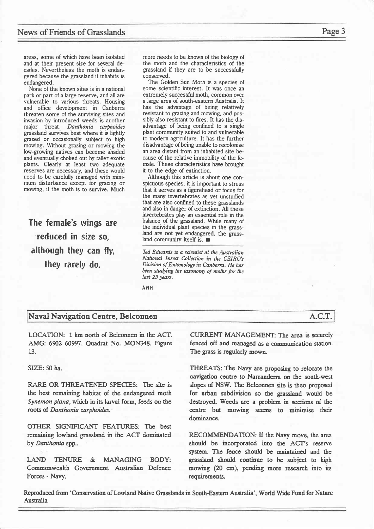areas, some of which hare been isolated and at their present size for several decades. Nevertheless the moth is endangered because the grassland it inhabits is endangered.

None of the known sites is in a national park or part of a large reserve, and all are vulnerable to various threats. Housing and office development in Canberra threaten some of the surviving sites and invasion by introduced weeds is another major threat. Danthonia carphoides grassland survives best where it is lightly grazed or occasionally subject to high mowing. Without grazing or mowing the low-growing natives can become shaded and eventually choked out by taller exotic plants. Clearly at least two adequate reserves are necessary, and these would need to be carefully managed with minimum disturbance except for grazing or mowing, if the moth is to survive. Much

The female's wings are reduced in size so, although they can fly, they rarely do.

more needs to be known of the biology of the moth and the characteristics of the grassland if they are to be successfully conserved.

The Golden Sun Moth is a species of some scientific interest. It was once an extremely successful moth, common over alarge area of south-eastern Australia. It has the advantage of being relatively resistant to grazing and mowing, and possibly also resistant to fires. It has the disadvantage of being confined to a single plant community suited to and vulnerable to modern agriculture. It has the further disadvantage of being unable to recolonise an area distant from an inhabited site because of the relative immobility of the female. These characteristics have brought it to the edge of extinction.

Although this article is about one conspicuous species, it is important to stress that it serves as a figurehead or focus for the many invertebrates as yet unstudied that are also confined to these grasslands and also in danger of extinction. All these invertebrates play an essential role in the balance of the grassland. While many of the individual plant species in the grassland are not yet endangered, the grassland community itself is.  $\blacksquare$ 

Ted Edwards is a scientist at the Australian National Insect Collection in the CSIRO's Division of Entomology in Canberra. He has been studying the taxonomy of moths for the last 23 years.

ANH

#### Naval Navigation Centre, Belconnen A.C.T.

LOCATION: 1 km north of Belconnen in the ACT. AMG: 6902 60997. Quadrat No. MON348. Figure L3.

SIZE: 50 ha.

RARE OR THREATENED SPECIES: The site is the best remaining habitat of the endangered moth Synemon plana, which in its larval form, feeds on the roots of Danthonia carphoides.

OTHER SIGNIFICANT FEATURES: The best remaining lowland grassland in the ACT dominated by Danthonia spp..

LAND TENURE & MANAGING BODY: Commonwealth Government. Australian Defence Forces - Navy.

CURRENT MANAGEMENT: The area is sccurely fenced off and managed as a communication station. The grass is regularly mown.

THREATS: The Navy are proposing to relocate the navigation centre to Narranderra on the south-west slopes of NSW. The Belconnen site is then proposed for urban subdivision so the grassland would be destroyed. Weeds are a problem in sections of the centre but mowing seems to minimise their dominance.

RECOMMENDATION: If the Navy move, the area should be incorporated into the ACT's rescrye system. The fence should be maintained and the grassland should continue to be subject to high mowing (20 cm), pending more research into its requirements.

Reproduced from 'Conservation of Lowland Native Grasslands in South-Eastern Australia', World Wide Fund for Natue Australia